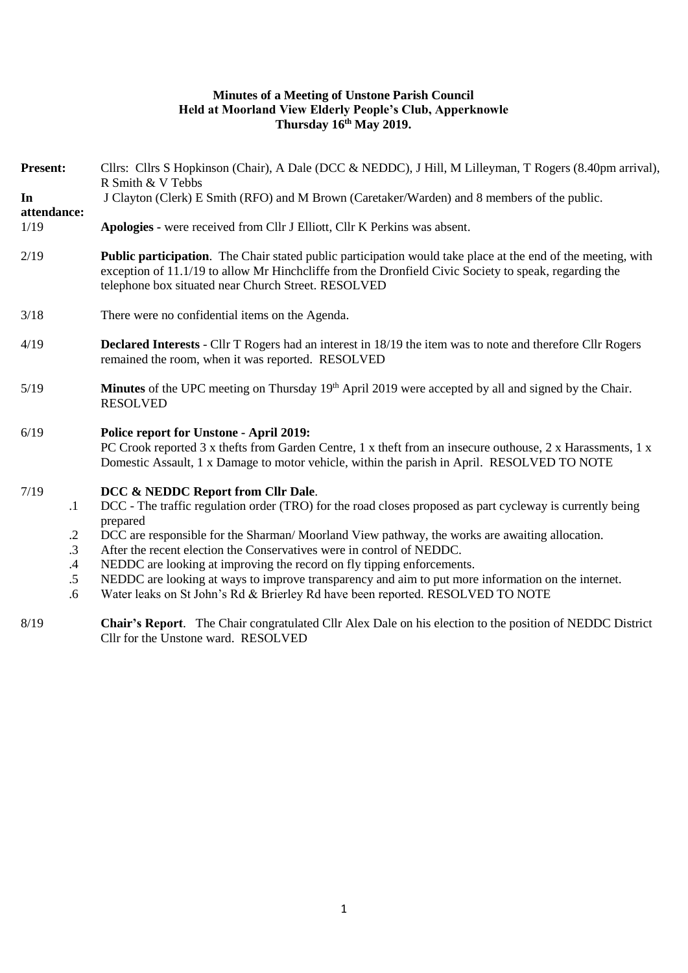### **Minutes of a Meeting of Unstone Parish Council Held at Moorland View Elderly People's Club, Apperknowle Thursday 16th May 2019.**

| <b>Present:</b>                                                 | Cllrs: Cllrs S Hopkinson (Chair), A Dale (DCC & NEDDC), J Hill, M Lilleyman, T Rogers (8.40pm arrival).<br>R Smith & V Tebbs                                                                                                                                                                                                                                                                                                                                                                                                                                                                            |
|-----------------------------------------------------------------|---------------------------------------------------------------------------------------------------------------------------------------------------------------------------------------------------------------------------------------------------------------------------------------------------------------------------------------------------------------------------------------------------------------------------------------------------------------------------------------------------------------------------------------------------------------------------------------------------------|
| In<br>attendance:                                               | J Clayton (Clerk) E Smith (RFO) and M Brown (Caretaker/Warden) and 8 members of the public.                                                                                                                                                                                                                                                                                                                                                                                                                                                                                                             |
| 1/19                                                            | Apologies - were received from Cllr J Elliott, Cllr K Perkins was absent.                                                                                                                                                                                                                                                                                                                                                                                                                                                                                                                               |
| 2/19                                                            | <b>Public participation.</b> The Chair stated public participation would take place at the end of the meeting, with<br>exception of 11.1/19 to allow Mr Hinchcliffe from the Dronfield Civic Society to speak, regarding the<br>telephone box situated near Church Street. RESOLVED                                                                                                                                                                                                                                                                                                                     |
| 3/18                                                            | There were no confidential items on the Agenda.                                                                                                                                                                                                                                                                                                                                                                                                                                                                                                                                                         |
| 4/19                                                            | Declared Interests - Cllr T Rogers had an interest in 18/19 the item was to note and therefore Cllr Rogers<br>remained the room, when it was reported. RESOLVED                                                                                                                                                                                                                                                                                                                                                                                                                                         |
| 5/19                                                            | Minutes of the UPC meeting on Thursday 19th April 2019 were accepted by all and signed by the Chair.<br><b>RESOLVED</b>                                                                                                                                                                                                                                                                                                                                                                                                                                                                                 |
| 6/19                                                            | Police report for Unstone - April 2019:<br>PC Crook reported 3 x thefts from Garden Centre, 1 x theft from an insecure outhouse, 2 x Harassments, 1 x<br>Domestic Assault, 1 x Damage to motor vehicle, within the parish in April. RESOLVED TO NOTE                                                                                                                                                                                                                                                                                                                                                    |
| 7/19<br>$\cdot$ 1<br>$\cdot$<br>$\cdot$ 3<br>.4<br>$.5\,$<br>.6 | DCC & NEDDC Report from Cllr Dale.<br>DCC - The traffic regulation order (TRO) for the road closes proposed as part cycleway is currently being<br>prepared<br>DCC are responsible for the Sharman/Moorland View pathway, the works are awaiting allocation.<br>After the recent election the Conservatives were in control of NEDDC.<br>NEDDC are looking at improving the record on fly tipping enforcements.<br>NEDDC are looking at ways to improve transparency and aim to put more information on the internet.<br>Water leaks on St John's Rd & Brierley Rd have been reported. RESOLVED TO NOTE |
| 8/19                                                            | <b>Chair's Report.</b> The Chair congratulated Cllr Alex Dale on his election to the position of NEDDC District                                                                                                                                                                                                                                                                                                                                                                                                                                                                                         |

Cllr for the Unstone ward. RESOLVED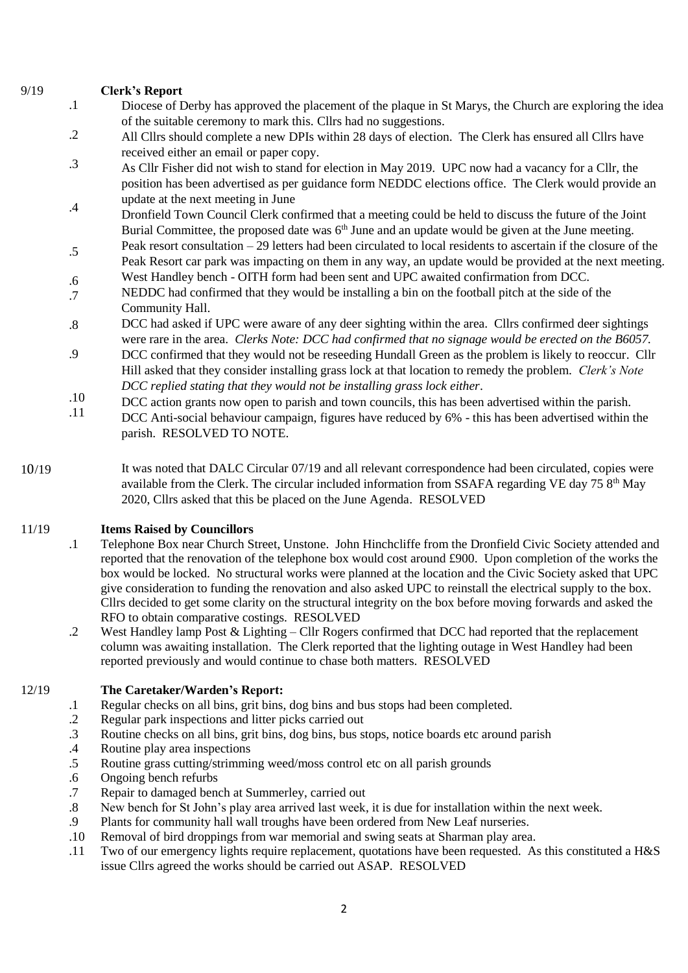### 9/19 **Clerk's Report**

.1 Diocese of Derby has approved the placement of the plaque in St Marys, the Church are exploring the idea of the suitable ceremony to mark this. Cllrs had no suggestions.

.2 All Cllrs should complete a new DPIs within 28 days of election. The Clerk has ensured all Cllrs have received either an email or paper copy.

- .3 As Cllr Fisher did not wish to stand for election in May 2019. UPC now had a vacancy for a Cllr, the position has been advertised as per guidance form NEDDC elections office. The Clerk would provide an update at the next meeting in June
- .4 Dronfield Town Council Clerk confirmed that a meeting could be held to discuss the future of the Joint Burial Committee, the proposed date was 6<sup>th</sup> June and an update would be given at the June meeting.
- .5 Peak resort consultation – 29 letters had been circulated to local residents to ascertain if the closure of the Peak Resort car park was impacting on them in any way, an update would be provided at the next meeting.
- .6 West Handley bench - OITH form had been sent and UPC awaited confirmation from DCC.
- .7 NEDDC had confirmed that they would be installing a bin on the football pitch at the side of the Community Hall.
- .8 DCC had asked if UPC were aware of any deer sighting within the area. Cllrs confirmed deer sightings were rare in the area. *Clerks Note: DCC had confirmed that no signage would be erected on the B6057.*
- .9 DCC confirmed that they would not be reseeding Hundall Green as the problem is likely to reoccur. Cllr Hill asked that they consider installing grass lock at that location to remedy the problem. *Clerk's Note DCC replied stating that they would not be installing grass lock either*.
- .10 DCC action grants now open to parish and town councils, this has been advertised within the parish.
- .11 DCC Anti-social behaviour campaign, figures have reduced by 6% - this has been advertised within the parish. RESOLVED TO NOTE.
- 10/19 It was noted that DALC Circular 07/19 and all relevant correspondence had been circulated, copies were available from the Clerk. The circular included information from SSAFA regarding VE day 75  $8<sup>th</sup>$  May 2020, Cllrs asked that this be placed on the June Agenda. RESOLVED

### 11/19 **Items Raised by Councillors**

- .1 Telephone Box near Church Street, Unstone. John Hinchcliffe from the Dronfield Civic Society attended and reported that the renovation of the telephone box would cost around £900. Upon completion of the works the box would be locked. No structural works were planned at the location and the Civic Society asked that UPC give consideration to funding the renovation and also asked UPC to reinstall the electrical supply to the box. Cllrs decided to get some clarity on the structural integrity on the box before moving forwards and asked the RFO to obtain comparative costings. RESOLVED
- .2 West Handley lamp Post & Lighting – Cllr Rogers confirmed that DCC had reported that the replacement column was awaiting installation. The Clerk reported that the lighting outage in West Handley had been reported previously and would continue to chase both matters. RESOLVED

#### 12/19 **The Caretaker/Warden's Report:**

- .1 Regular checks on all bins, grit bins, dog bins and bus stops had been completed.
- .2 Regular park inspections and litter picks carried out
- .3 Routine checks on all bins, grit bins, dog bins, bus stops, notice boards etc around parish
- .4 Routine play area inspections
- .5 Routine grass cutting/strimming weed/moss control etc on all parish grounds
- .6 Ongoing bench refurbs
- .7 Repair to damaged bench at Summerley, carried out
- .8 New bench for St John's play area arrived last week, it is due for installation within the next week.
- .9 Plants for community hall wall troughs have been ordered from New Leaf nurseries.
- .10 Removal of bird droppings from war memorial and swing seats at Sharman play area.
- .11 Two of our emergency lights require replacement, quotations have been requested. As this constituted a H&S issue Cllrs agreed the works should be carried out ASAP. RESOLVED